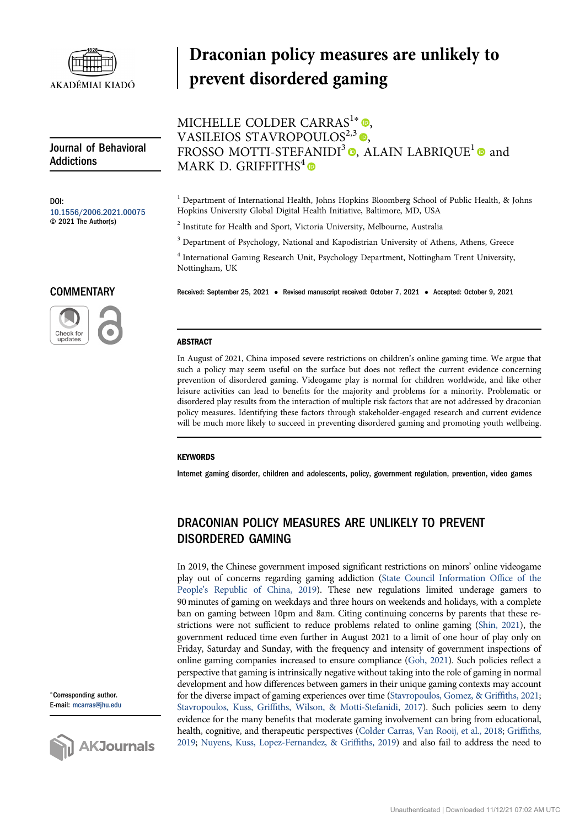

Journal of Behavioral Addictions

DOI: [10.1556/2006.2021.00075](https://doi.org/10.1556/2006.2021.00075) © 2021 The Author(s)

**COMMENTARY** 

Check for<br>updates

# Draconian policy measures are unlikely to prevent disordered gaming

## MICHELLE COLDER CARRAS<sup>1\*</sup> <sup>O</sup>, VASILEIOS STAVROPOULOS $^{2,3}$ <sup>O</sup>, FROSSO MOTTI-STEFANIDI<sup>3</sup>  $\bullet$ [,](https://orcid.org/0000-0003-4290-4895) ALAIN LABRIQUE<sup>1</sup>  $\bullet$  and MARK D. GRIFFITHS<sup>4</sup>

<sup>1</sup> Department of International Health, Johns Hopkins Bloomberg School of Public Health, & Johns Hopkins University Global Digital Health Initiative, Baltimore, MD, USA

<sup>2</sup> Institute for Health and Sport, Victoria University, Melbourne, Australia

<sup>3</sup> Department of Psychology, National and Kapodistrian University of Athens, Athens, Greece

<sup>4</sup> International Gaming Research Unit, Psychology Department, Nottingham Trent University, Nottingham, UK

Received: September 25, 2021 • Revised manuscript received: October 7, 2021 • Accepted: October 9, 2021

#### **ABSTRACT**

In August of 2021, China imposed severe restrictions on children's online gaming time. We argue that such a policy may seem useful on the surface but does not reflect the current evidence concerning prevention of disordered gaming. Videogame play is normal for children worldwide, and like other leisure activities can lead to benefits for the majority and problems for a minority. Problematic or disordered play results from the interaction of multiple risk factors that are not addressed by draconian policy measures. Identifying these factors through stakeholder-engaged research and current evidence will be much more likely to succeed in preventing disordered gaming and promoting youth wellbeing.

#### **KEYWORDS**

Internet gaming disorder, children and adolescents, policy, government regulation, prevention, video games

## DRACONIAN POLICY MEASURES ARE UNLIKELY TO PREVENT DISORDERED GAMING

In 2019, the Chinese government imposed significant restrictions on minors' online videogame play out of concerns regarding gaming addiction ([State Council Information Of](#page-4-0)fice of the People'[s Republic of China, 2019](#page-4-0)). These new regulations limited underage gamers to 90 minutes of gaming on weekdays and three hours on weekends and holidays, with a complete ban on gaming between 10pm and 8am. Citing continuing concerns by parents that these restrictions were not sufficient to reduce problems related to online gaming [\(Shin, 2021](#page-4-1)), the government reduced time even further in August 2021 to a limit of one hour of play only on Friday, Saturday and Sunday, with the frequency and intensity of government inspections of online gaming companies increased to ensure compliance [\(Goh, 2021](#page-2-0)). Such policies reflect a perspective that gaming is intrinsically negative without taking into the role of gaming in normal development and how differences between gamers in their unique gaming contexts may account for the diverse impact of gaming experiences over time [\(Stavropoulos, Gomez, & Grif](#page-4-2)fiths, 2021; Stavropoulos, Kuss, Griffi[ths, Wilson, & Motti-Stefanidi, 2017](#page-4-3)). Such policies seem to deny evidence for the many benefits that moderate gaming involvement can bring from educational, health, cognitive, and therapeutic perspectives [\(Colder Carras, Van Rooij, et al., 2018](#page-2-1); [Grif](#page-3-0)fiths, [2019;](#page-3-0) [Nuyens, Kuss, Lopez-Fernandez, & Grif](#page-3-1)fiths, 2019) and also fail to address the need to

<sup>p</sup>Corresponding author. E-mail: [mcarras@jhu.edu](mailto:mcarras@jhu.edu)

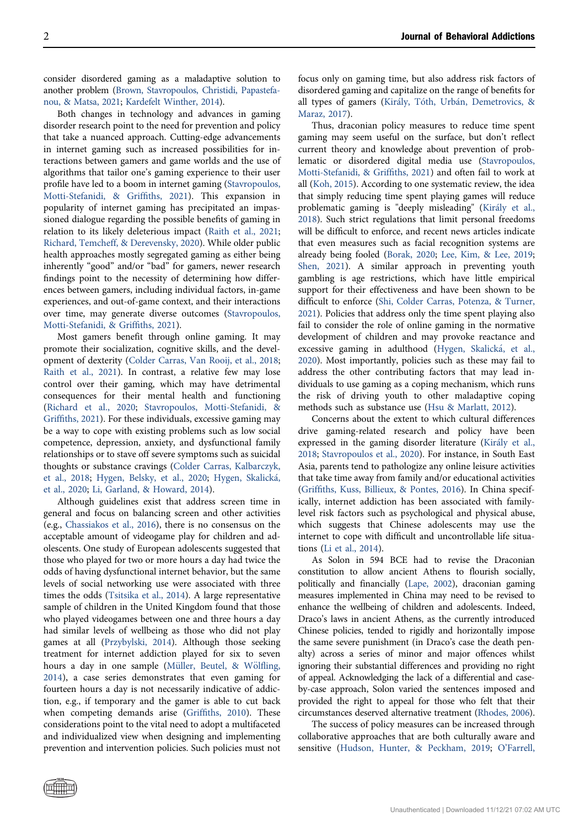consider disordered gaming as a maladaptive solution to another problem ([Brown, Stavropoulos, Christidi, Papastefa](#page-2-2)[nou, & Matsa, 2021;](#page-2-2) [Kardefelt Winther, 2014](#page-3-2)).

Both changes in technology and advances in gaming disorder research point to the need for prevention and policy that take a nuanced approach. Cutting-edge advancements in internet gaming such as increased possibilities for interactions between gamers and game worlds and the use of algorithms that tailor one's gaming experience to their user profile have led to a boom in internet gaming [\(Stavropoulos,](#page-4-4) [Motti-Stefanidi, & Grif](#page-4-4)fiths, 2021). This expansion in popularity of internet gaming has precipitated an impassioned dialogue regarding the possible benefits of gaming in relation to its likely deleterious impact [\(Raith et al., 2021](#page-3-3); [Richard, Temcheff, & Derevensky, 2020\)](#page-3-4). While older public health approaches mostly segregated gaming as either being inherently "good" and/or "bad" for gamers, newer research findings point to the necessity of determining how differences between gamers, including individual factors, in-game experiences, and out-of-game context, and their interactions over time, may generate diverse outcomes [\(Stavropoulos,](#page-4-4) [Motti-Stefanidi, & Grif](#page-4-4)fiths, 2021).

Most gamers benefit through online gaming. It may promote their socialization, cognitive skills, and the development of dexterity [\(Colder Carras, Van Rooij, et al., 2018](#page-2-1); [Raith et al., 2021](#page-3-3)). In contrast, a relative few may lose control over their gaming, which may have detrimental consequences for their mental health and functioning ([Richard et al., 2020;](#page-3-4) [Stavropoulos, Motti-Stefanidi, &](#page-4-4) Griffi[ths, 2021\)](#page-4-4). For these individuals, excessive gaming may be a way to cope with existing problems such as low social competence, depression, anxiety, and dysfunctional family relationships or to stave off severe symptoms such as suicidal thoughts or substance cravings ([Colder Carras, Kalbarczyk,](#page-2-3) [et al., 2018](#page-2-3); [Hygen, Belsky, et al., 2020;](#page-3-5) [Hygen, Skalick](#page-3-6)[a,](#page-3-6) [et al., 2020](#page-3-6); [Li, Garland, & Howard, 2014\)](#page-3-7).

Although guidelines exist that address screen time in general and focus on balancing screen and other activities (e.g., [Chassiakos et al., 2016\)](#page-2-4), there is no consensus on the acceptable amount of videogame play for children and adolescents. One study of European adolescents suggested that those who played for two or more hours a day had twice the odds of having dysfunctional internet behavior, but the same levels of social networking use were associated with three times the odds [\(Tsitsika et al., 2014](#page-4-5)). A large representative sample of children in the United Kingdom found that those who played videogames between one and three hours a day had similar levels of wellbeing as those who did not play games at all [\(Przybylski, 2014\)](#page-3-8). Although those seeking treatment for internet addiction played for six to seven hours a day in one sample (Müller, Beutel, & Wölfl[ing,](#page-3-9) [2014](#page-3-9)), a case series demonstrates that even gaming for fourteen hours a day is not necessarily indicative of addiction, e.g., if temporary and the gamer is able to cut back when competing demands arise (Griffi[ths, 2010\)](#page-3-10). These considerations point to the vital need to adopt a multifaceted and individualized view when designing and implementing prevention and intervention policies. Such policies must not focus only on gaming time, but also address risk factors of disordered gaming and capitalize on the range of benefits for all types of gamers ([Kir](#page-3-11)ály, Tóth, Urbán, Demetrovics, & [Maraz, 2017](#page-3-11)).

Thus, draconian policy measures to reduce time spent gaming may seem useful on the surface, but don't reflect current theory and knowledge about prevention of problematic or disordered digital media use ([Stavropoulos,](#page-4-4) [Motti-Stefanidi, & Grif](#page-4-4)fiths, 2021) and often fail to work at all ([Koh, 2015](#page-3-12)). According to one systematic review, the idea that simply reducing time spent playing games will reduce problematic gaming is "deeply misleading" [\(Kir](#page-3-13)á[ly et al.,](#page-3-13) [2018](#page-3-13)). Such strict regulations that limit personal freedoms will be difficult to enforce, and recent news articles indicate that even measures such as facial recognition systems are already being fooled ([Borak, 2020;](#page-2-5) [Lee, Kim, & Lee, 2019](#page-3-14); [Shen, 2021](#page-3-15)). A similar approach in preventing youth gambling is age restrictions, which have little empirical support for their effectiveness and have been shown to be difficult to enforce ([Shi, Colder Carras, Potenza, & Turner,](#page-4-6) [2021](#page-4-6)). Policies that address only the time spent playing also fail to consider the role of online gaming in the normative development of children and may provoke reactance and excessive gaming in adulthood ([Hygen, Skalick](#page-3-6)á[, et al.,](#page-3-6) [2020](#page-3-6)). Most importantly, policies such as these may fail to address the other contributing factors that may lead individuals to use gaming as a coping mechanism, which runs the risk of driving youth to other maladaptive coping methods such as substance use ([Hsu & Marlatt, 2012\)](#page-3-16).

Concerns about the extent to which cultural differences drive gaming-related research and policy have been expressed in the gaming disorder literature [\(Kir](#page-3-13)a[ly et al.,](#page-3-13) [2018](#page-3-13); [Stavropoulos et al., 2020\)](#page-4-7). For instance, in South East Asia, parents tend to pathologize any online leisure activities that take time away from family and/or educational activities (Griffi[ths, Kuss, Billieux, & Pontes, 2016](#page-3-17)). In China specifically, internet addiction has been associated with familylevel risk factors such as psychological and physical abuse, which suggests that Chinese adolescents may use the internet to cope with difficult and uncontrollable life situations ([Li et al., 2014](#page-3-7)).

As Solon in 594 BCE had to revise the Draconian constitution to allow ancient Athens to flourish socially, politically and financially [\(Lape, 2002](#page-3-18)), draconian gaming measures implemented in China may need to be revised to enhance the wellbeing of children and adolescents. Indeed, Draco's laws in ancient Athens, as the currently introduced Chinese policies, tended to rigidly and horizontally impose the same severe punishment (in Draco's case the death penalty) across a series of minor and major offences whilst ignoring their substantial differences and providing no right of appeal. Acknowledging the lack of a differential and caseby-case approach, Solon varied the sentences imposed and provided the right to appeal for those who felt that their circumstances deserved alternative treatment [\(Rhodes, 2006\)](#page-3-19).

The success of policy measures can be increased through collaborative approaches that are both culturally aware and sensitive [\(Hudson, Hunter, & Peckham, 2019;](#page-3-20) O'[Farrell,](#page-3-21)

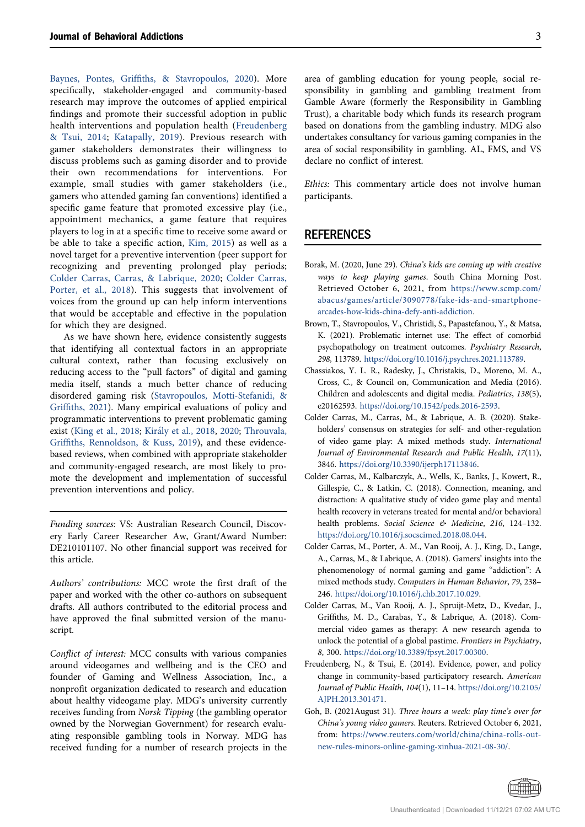Baynes, Pontes, Griffi[ths, & Stavropoulos, 2020](#page-3-21)). More specifically, stakeholder-engaged and community-based research may improve the outcomes of applied empirical findings and promote their successful adoption in public health interventions and population health ([Freudenberg](#page-2-6) [& Tsui, 2014;](#page-2-6) [Katapally, 2019](#page-3-22)). Previous research with gamer stakeholders demonstrates their willingness to discuss problems such as gaming disorder and to provide their own recommendations for interventions. For example, small studies with gamer stakeholders (i.e., gamers who attended gaming fan conventions) identified a specific game feature that promoted excessive play (i.e., appointment mechanics, a game feature that requires players to log in at a specific time to receive some award or be able to take a specific action, [Kim, 2015](#page-3-23)) as well as a novel target for a preventive intervention (peer support for recognizing and preventing prolonged play periods; [Colder Carras, Carras, & Labrique, 2020](#page-2-7); [Colder Carras,](#page-2-8) [Porter, et al., 2018](#page-2-8)). This suggests that involvement of voices from the ground up can help inform interventions that would be acceptable and effective in the population for which they are designed.

As we have shown here, evidence consistently suggests that identifying all contextual factors in an appropriate cultural context, rather than focusing exclusively on reducing access to the "pull factors" of digital and gaming media itself, stands a much better chance of reducing disordered gaming risk [\(Stavropoulos, Motti-Stefanidi, &](#page-4-4) Griffi[ths, 2021\)](#page-4-4). Many empirical evaluations of policy and programmatic interventions to prevent problematic gaming exist ([King et al., 2018;](#page-3-24) [Kir](#page-3-13)a[ly et al., 2018,](#page-3-13) [2020](#page-3-25); [Throuvala,](#page-4-8) Griffi[ths, Rennoldson, & Kuss, 2019\)](#page-4-8), and these evidencebased reviews, when combined with appropriate stakeholder and community-engaged research, are most likely to promote the development and implementation of successful prevention interventions and policy.

Funding sources: VS: Australian Research Council, Discovery Early Career Researcher Aw, Grant/Award Number: DE210101107. No other financial support was received for this article.

Authors' contributions: MCC wrote the first draft of the paper and worked with the other co-authors on subsequent drafts. All authors contributed to the editorial process and have approved the final submitted version of the manuscript.

Conflict of interest: MCC consults with various companies around videogames and wellbeing and is the CEO and founder of Gaming and Wellness Association, Inc., a nonprofit organization dedicated to research and education about healthy videogame play. MDG's university currently receives funding from Norsk Tipping (the gambling operator owned by the Norwegian Government) for research evaluating responsible gambling tools in Norway. MDG has received funding for a number of research projects in the

area of gambling education for young people, social responsibility in gambling and gambling treatment from Gamble Aware (formerly the Responsibility in Gambling Trust), a charitable body which funds its research program based on donations from the gambling industry. MDG also undertakes consultancy for various gaming companies in the area of social responsibility in gambling. AL, FMS, and VS declare no conflict of interest.

Ethics: This commentary article does not involve human participants.

### **REFERENCES**

- <span id="page-2-5"></span>Borak, M. (2020, June 29). China's kids are coming up with creative ways to keep playing games. South China Morning Post. Retrieved October 6, 2021, from [https://www.scmp.com/](https://www.scmp.com/abacus/games/article/3090778/fake-ids-and-smartphone-arcades-how-kids-china-defy-anti-addiction) [abacus/games/article/3090778/fake-ids-and-smartphone](https://www.scmp.com/abacus/games/article/3090778/fake-ids-and-smartphone-arcades-how-kids-china-defy-anti-addiction)[arcades-how-kids-china-defy-anti-addiction](https://www.scmp.com/abacus/games/article/3090778/fake-ids-and-smartphone-arcades-how-kids-china-defy-anti-addiction).
- <span id="page-2-2"></span>Brown, T., Stavropoulos, V., Christidi, S., Papastefanou, Y., & Matsa, K. (2021). Problematic internet use: The effect of comorbid psychopathology on treatment outcomes. Psychiatry Research, 298, 113789. <https://doi.org/10.1016/j.psychres.2021.113789>.
- <span id="page-2-4"></span>Chassiakos, Y. L. R., Radesky, J., Christakis, D., Moreno, M. A., Cross, C., & Council on, Communication and Media (2016). Children and adolescents and digital media. Pediatrics, 138(5), e20162593. [https://doi.org/10.1542/peds.2016-2593.](https://doi.org/10.1542/peds.2016-2593)
- <span id="page-2-7"></span>Colder Carras, M., Carras, M., & Labrique, A. B. (2020). Stakeholders' consensus on strategies for self- and other-regulation of video game play: A mixed methods study. International Journal of Environmental Research and Public Health, 17(11), 3846. [https://doi.org/10.3390/ijerph17113846.](https://doi.org/10.3390/ijerph17113846)
- <span id="page-2-3"></span>Colder Carras, M., Kalbarczyk, A., Wells, K., Banks, J., Kowert, R., Gillespie, C., & Latkin, C. (2018). Connection, meaning, and distraction: A qualitative study of video game play and mental health recovery in veterans treated for mental and/or behavioral health problems. Social Science & Medicine, 216, 124-132. <https://doi.org/10.1016/j.socscimed.2018.08.044>.
- <span id="page-2-8"></span>Colder Carras, M., Porter, A. M., Van Rooij, A. J., King, D., Lange, A., Carras, M., & Labrique, A. (2018). Gamers' insights into the phenomenology of normal gaming and game "addiction": A mixed methods study. Computers in Human Behavior, 79, 238– 246. [https://doi.org/10.1016/j.chb.2017.10.029.](https://doi.org/10.1016/j.chb.2017.10.029)
- <span id="page-2-1"></span>Colder Carras, M., Van Rooij, A. J., Spruijt-Metz, D., Kvedar, J., Griffiths, M. D., Carabas, Y., & Labrique, A. (2018). Commercial video games as therapy: A new research agenda to unlock the potential of a global pastime. Frontiers in Psychiatry, 8, 300. [https://doi.org/10.3389/fpsyt.2017.00300.](https://doi.org/10.3389/fpsyt.2017.00300)
- <span id="page-2-6"></span>Freudenberg, N., & Tsui, E. (2014). Evidence, power, and policy change in community-based participatory research. American Journal of Public Health, 104(1), 11–14. [https://doi.org/10.2105/](https://doi.org/10.2105/AJPH.2013.301471) [AJPH.2013.301471](https://doi.org/10.2105/AJPH.2013.301471).
- <span id="page-2-0"></span>Goh, B. (2021August 31). Three hours a week: play time's over for China's young video gamers. Reuters. Retrieved October 6, 2021, from: [https://www.reuters.com/world/china/china-rolls-out](https://www.reuters.com/world/china/china-rolls-out-new-rules-minors-online-gaming-xinhua-2021-08-30/)[new-rules-minors-online-gaming-xinhua-2021-08-30/](https://www.reuters.com/world/china/china-rolls-out-new-rules-minors-online-gaming-xinhua-2021-08-30/).

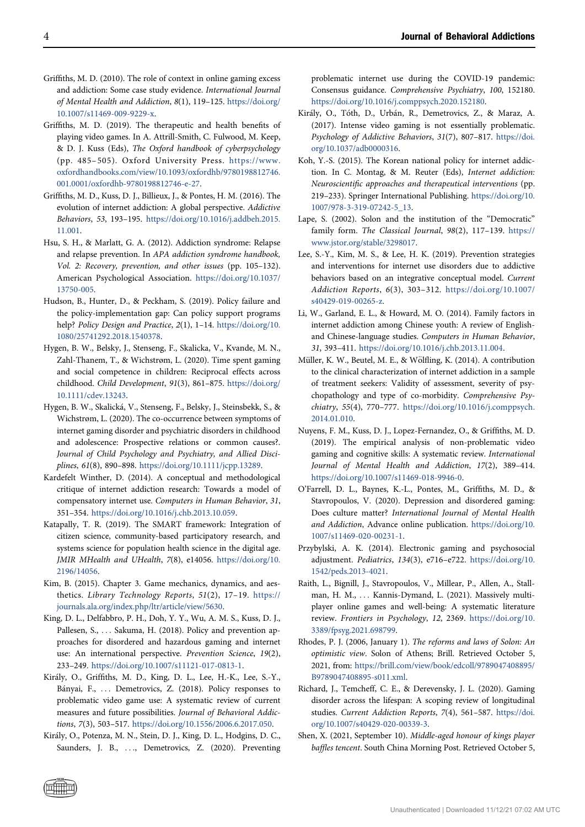- <span id="page-3-10"></span>Griffiths, M. D. (2010). The role of context in online gaming excess and addiction: Some case study evidence. International Journal of Mental Health and Addiction, 8(1), 119–125. [https://doi.org/](https://doi.org/10.1007/s11469-009-9229-x) [10.1007/s11469-009-9229-x](https://doi.org/10.1007/s11469-009-9229-x).
- <span id="page-3-0"></span>Griffiths, M. D. (2019). The therapeutic and health benefits of playing video games. In A. Attrill-Smith, C. Fulwood, M. Keep, & D. J. Kuss (Eds), The Oxford handbook of cyberpsychology (pp. 485– 505). Oxford University Press. [https://www.](https://www.oxfordhandbooks.com/view/10.1093/oxfordhb/9780198812746.001.0001/oxfordhb-9780198812746-e-27) [oxfordhandbooks.com/view/10.1093/oxfordhb/9780198812746.](https://www.oxfordhandbooks.com/view/10.1093/oxfordhb/9780198812746.001.0001/oxfordhb-9780198812746-e-27) [001.0001/oxfordhb-9780198812746-e-27](https://www.oxfordhandbooks.com/view/10.1093/oxfordhb/9780198812746.001.0001/oxfordhb-9780198812746-e-27).
- <span id="page-3-17"></span>Griffiths, M. D., Kuss, D. J., Billieux, J., & Pontes, H. M. (2016). The evolution of internet addiction: A global perspective. Addictive Behaviors, 53, 193–195. [https://doi.org/10.1016/j.addbeh.2015.](https://doi.org/10.1016/j.addbeh.2015.11.001) [11.001](https://doi.org/10.1016/j.addbeh.2015.11.001).
- <span id="page-3-16"></span>Hsu, S. H., & Marlatt, G. A. (2012). Addiction syndrome: Relapse and relapse prevention. In APA addiction syndrome handbook, Vol. 2: Recovery, prevention, and other issues (pp. 105–132). American Psychological Association. [https://doi.org/10.1037/](https://doi.org/10.1037/13750-005) [13750-005](https://doi.org/10.1037/13750-005).
- <span id="page-3-20"></span>Hudson, B., Hunter, D., & Peckham, S. (2019). Policy failure and the policy-implementation gap: Can policy support programs help? Policy Design and Practice, 2(1), 1-14. [https://doi.org/10.](https://doi.org/10.1080/25741292.2018.1540378) [1080/25741292.2018.1540378](https://doi.org/10.1080/25741292.2018.1540378).
- <span id="page-3-6"></span>Hygen, B. W., Belsky, J., Stenseng, F., Skalicka, V., Kvande, M. N., Zahl-Thanem, T., & Wichstrøm, L. (2020). Time spent gaming and social competence in children: Reciprocal effects across childhood. Child Development, 91(3), 861–875. [https://doi.org/](https://doi.org/10.1111/cdev.13243) [10.1111/cdev.13243](https://doi.org/10.1111/cdev.13243).
- <span id="page-3-5"></span>Hygen, B. W., Skalicka, V., Stenseng, F., Belsky, J., Steinsbekk, S., & Wichstrøm, L. (2020). The co-occurrence between symptoms of internet gaming disorder and psychiatric disorders in childhood and adolescence: Prospective relations or common causes?. Journal of Child Psychology and Psychiatry, and Allied Disciplines, 61(8), 890–898. <https://doi.org/10.1111/jcpp.13289>.
- <span id="page-3-2"></span>Kardefelt Winther, D. (2014). A conceptual and methodological critique of internet addiction research: Towards a model of compensatory internet use. Computers in Human Behavior, 31, 351–354. [https://doi.org/10.1016/j.chb.2013.10.059.](https://doi.org/10.1016/j.chb.2013.10.059)
- <span id="page-3-22"></span>Katapally, T. R. (2019). The SMART framework: Integration of citizen science, community-based participatory research, and systems science for population health science in the digital age. JMIR MHealth and UHealth, 7(8), e14056. [https://doi.org/10.](https://doi.org/10.2196/14056) [2196/14056](https://doi.org/10.2196/14056).
- <span id="page-3-23"></span>Kim, B. (2015). Chapter 3. Game mechanics, dynamics, and aesthetics. Library Technology Reports, 51(2), 17–19. [https://](https://journals.ala.org/index.php/ltr/article/view/5630) [journals.ala.org/index.php/ltr/article/view/5630.](https://journals.ala.org/index.php/ltr/article/view/5630)
- <span id="page-3-24"></span>King, D. L., Delfabbro, P. H., Doh, Y. Y., Wu, A. M. S., Kuss, D. J., Pallesen, S., ... Sakuma, H. (2018). Policy and prevention approaches for disordered and hazardous gaming and internet use: An international perspective. Prevention Science, 19(2), 233–249. <https://doi.org/10.1007/s11121-017-0813-1>.
- <span id="page-3-13"></span>Kiraly, O., Griffiths, M. D., King, D. L., Lee, H.-K., Lee, S.-Y., Banyai, F., ... Demetrovics, Z. (2018). Policy responses to problematic video game use: A systematic review of current measures and future possibilities. Journal of Behavioral Addictions, 7(3), 503–517. [https://doi.org/10.1556/2006.6.2017.050.](https://doi.org/10.1556/2006.6.2017.050)
- <span id="page-3-25"></span>Kiraly, O., Potenza, M. N., Stein, D. J., King, D. L., Hodgins, D. C., Saunders, J. B., ..., Demetrovics, Z. (2020). Preventing

problematic internet use during the COVID-19 pandemic: Consensus guidance. Comprehensive Psychiatry, 100, 152180. <https://doi.org/10.1016/j.comppsych.2020.152180>.

- <span id="page-3-11"></span>Király, O., Tóth, D., Urbán, R., Demetrovics, Z., & Maraz, A. (2017). Intense video gaming is not essentially problematic. Psychology of Addictive Behaviors, 31(7), 807–817. [https://doi.](https://doi.org/10.1037/adb0000316) [org/10.1037/adb0000316](https://doi.org/10.1037/adb0000316).
- <span id="page-3-12"></span>Koh, Y.-S. (2015). The Korean national policy for internet addiction. In C. Montag, & M. Reuter (Eds), Internet addiction: Neuroscientific approaches and therapeutical interventions (pp. 219–233). Springer International Publishing. [https://doi.org/10.](https://doi.org/10.1007/978-3-319-07242-5_13) [1007/978-3-319-07242-5\\_13.](https://doi.org/10.1007/978-3-319-07242-5_13)
- <span id="page-3-18"></span>Lape, S. (2002). Solon and the institution of the "Democratic" family form. The Classical Journal, 98(2), 117–139. [https://](https://www.jstor.org/stable/3298017) [www.jstor.org/stable/3298017](https://www.jstor.org/stable/3298017).
- <span id="page-3-14"></span>Lee, S.-Y., Kim, M. S., & Lee, H. K. (2019). Prevention strategies and interventions for internet use disorders due to addictive behaviors based on an integrative conceptual model. Current Addiction Reports, 6(3), 303–312. [https://doi.org/10.1007/](https://doi.org/10.1007/s40429-019-00265-z) [s40429-019-00265-z](https://doi.org/10.1007/s40429-019-00265-z).
- <span id="page-3-7"></span>Li, W., Garland, E. L., & Howard, M. O. (2014). Family factors in internet addiction among Chinese youth: A review of Englishand Chinese-language studies. Computers in Human Behavior, 31, 393–411. [https://doi.org/10.1016/j.chb.2013.11.004.](https://doi.org/10.1016/j.chb.2013.11.004)
- <span id="page-3-9"></span>Müller, K. W., Beutel, M. E., & Wölfling, K. (2014). A contribution to the clinical characterization of internet addiction in a sample of treatment seekers: Validity of assessment, severity of psychopathology and type of co-morbidity. Comprehensive Psychiatry, 55(4), 770–777. [https://doi.org/10.1016/j.comppsych.](https://doi.org/10.1016/j.comppsych.2014.01.010) [2014.01.010](https://doi.org/10.1016/j.comppsych.2014.01.010).
- <span id="page-3-1"></span>Nuyens, F. M., Kuss, D. J., Lopez-Fernandez, O., & Griffiths, M. D. (2019). The empirical analysis of non-problematic video gaming and cognitive skills: A systematic review. International Journal of Mental Health and Addiction, 17(2), 389–414. <https://doi.org/10.1007/s11469-018-9946-0>.
- <span id="page-3-21"></span>O'Farrell, D. L., Baynes, K.-L., Pontes, M., Griffiths, M. D., & Stavropoulos, V. (2020). Depression and disordered gaming: Does culture matter? International Journal of Mental Health and Addiction, Advance online publication. [https://doi.org/10.](https://doi.org/10.1007/s11469-020-00231-1) [1007/s11469-020-00231-1.](https://doi.org/10.1007/s11469-020-00231-1)
- <span id="page-3-8"></span>Przybylski, A. K. (2014). Electronic gaming and psychosocial adjustment. Pediatrics, 134(3), e716–e722. [https://doi.org/10.](https://doi.org/10.1542/peds.2013-4021) [1542/peds.2013-4021.](https://doi.org/10.1542/peds.2013-4021)
- <span id="page-3-3"></span>Raith, L., Bignill, J., Stavropoulos, V., Millear, P., Allen, A., Stallman, H. M., ... Kannis-Dymand, L. (2021). Massively multiplayer online games and well-being: A systematic literature review. Frontiers in Psychology, 12, 2369. [https://doi.org/10.](https://doi.org/10.3389/fpsyg.2021.698799) [3389/fpsyg.2021.698799.](https://doi.org/10.3389/fpsyg.2021.698799)
- <span id="page-3-19"></span>Rhodes, P. J. (2006, January 1). The reforms and laws of Solon: An optimistic view. Solon of Athens; Brill. Retrieved October 5, 2021, from: [https://brill.com/view/book/edcoll/9789047408895/](https://brill.com/view/book/edcoll/9789047408895/B9789047408895-s011.xml) [B9789047408895-s011.xml.](https://brill.com/view/book/edcoll/9789047408895/B9789047408895-s011.xml)
- <span id="page-3-4"></span>Richard, J., Temcheff, C. E., & Derevensky, J. L. (2020). Gaming disorder across the lifespan: A scoping review of longitudinal studies. Current Addiction Reports, 7(4), 561–587. [https://doi.](https://doi.org/10.1007/s40429-020-00339-3) [org/10.1007/s40429-020-00339-3](https://doi.org/10.1007/s40429-020-00339-3).
- <span id="page-3-15"></span>Shen, X. (2021, September 10). Middle-aged honour of kings player baffles tencent. South China Morning Post. Retrieved October 5,